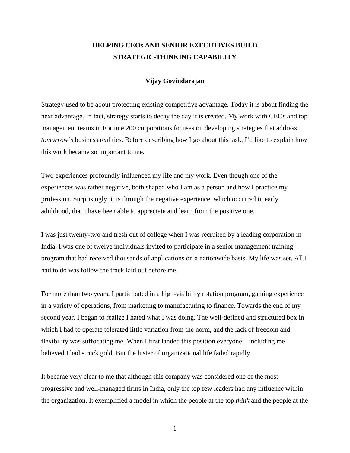# **HELPING CEOs AND SENIOR EXECUTIVES BUILD STRATEGIC-THINKING CAPABILITY**

#### **Vijay Govindarajan**

Strategy used to be about protecting existing competitive advantage. Today it is about finding the next advantage. In fact, strategy starts to decay the day it is created. My work with CEOs and top management teams in Fortune 200 corporations focuses on developing strategies that address *tomorrow's* business realities. Before describing how I go about this task, I'd like to explain how this work became so important to me.

Two experiences profoundly influenced my life and my work. Even though one of the experiences was rather negative, both shaped who I am as a person and how I practice my profession. Surprisingly, it is through the negative experience, which occurred in early adulthood, that I have been able to appreciate and learn from the positive one.

I was just twenty-two and fresh out of college when I was recruited by a leading corporation in India. I was one of twelve individuals invited to participate in a senior management training program that had received thousands of applications on a nationwide basis. My life was set. All I had to do was follow the track laid out before me.

For more than two years, I participated in a high-visibility rotation program, gaining experience in a variety of operations, from marketing to manufacturing to finance. Towards the end of my second year, I began to realize I hated what I was doing. The well-defined and structured box in which I had to operate tolerated little variation from the norm, and the lack of freedom and flexibility was suffocating me. When I first landed this position everyone—including me believed I had struck gold. But the luster of organizational life faded rapidly.

It became very clear to me that although this company was considered one of the most progressive and well-managed firms in India, only the top few leaders had any influence within the organization. It exemplified a model in which the people at the top *think* and the people at the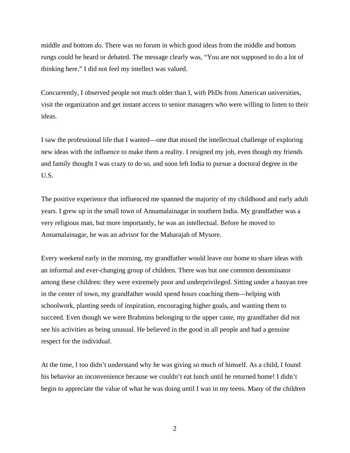middle and bottom *do*. There was no forum in which good ideas from the middle and bottom rungs could be heard or debated. The message clearly was, "You are not supposed to do a lot of thinking here." I did not feel my intellect was valued.

Concurrently, I observed people not much older than I, with PhDs from American universities, visit the organization and get instant access to senior managers who were willing to listen to their ideas.

I saw the professional life that I wanted—one that mixed the intellectual challenge of exploring new ideas with the influence to make them a reality. I resigned my job, even though my friends and family thought I was crazy to do so, and soon left India to pursue a doctoral degree in the U.S.

The positive experience that influenced me spanned the majority of my childhood and early adult years. I grew up in the small town of Annamalainagar in southern India. My grandfather was a very religious man, but more importantly, he was an intellectual. Before he moved to Annamalainagar, he was an advisor for the Maharajah of Mysore.

Every weekend early in the morning, my grandfather would leave our home to share ideas with an informal and ever-changing group of children. There was but one common denominator among these children: they were extremely poor and underprivileged. Sitting under a banyan tree in the center of town, my grandfather would spend hours coaching them—helping with schoolwork, planting seeds of inspiration, encouraging higher goals, and wanting them to succeed. Even though we were Brahmins belonging to the upper caste, my grandfather did not see his activities as being unusual. He believed in the good in all people and had a genuine respect for the individual.

At the time, I too didn't understand why he was giving so much of himself. As a child, I found his behavior an inconvenience because we couldn't eat lunch until he returned home! I didn't begin to appreciate the value of what he was doing until I was in my teens. Many of the children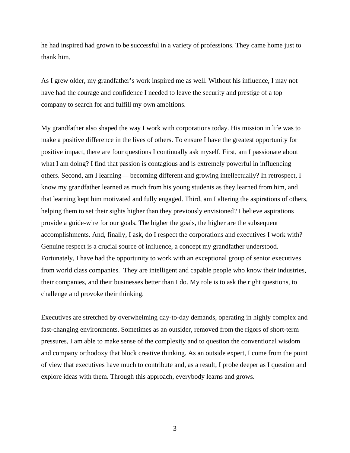he had inspired had grown to be successful in a variety of professions. They came home just to thank him.

As I grew older, my grandfather's work inspired me as well. Without his influence, I may not have had the courage and confidence I needed to leave the security and prestige of a top company to search for and fulfill my own ambitions.

My grandfather also shaped the way I work with corporations today. His mission in life was to make a positive difference in the lives of others. To ensure I have the greatest opportunity for positive impact, there are four questions I continually ask myself. First, am I passionate about what I am doing? I find that passion is contagious and is extremely powerful in influencing others. Second, am I learning— becoming different and growing intellectually? In retrospect, I know my grandfather learned as much from his young students as they learned from him, and that learning kept him motivated and fully engaged. Third, am I altering the aspirations of others, helping them to set their sights higher than they previously envisioned? I believe aspirations provide a guide-wire for our goals. The higher the goals, the higher are the subsequent accomplishments. And, finally, I ask, do I respect the corporations and executives I work with? Genuine respect is a crucial source of influence, a concept my grandfather understood. Fortunately, I have had the opportunity to work with an exceptional group of senior executives from world class companies. They are intelligent and capable people who know their industries, their companies, and their businesses better than I do. My role is to ask the right questions, to challenge and provoke their thinking.

Executives are stretched by overwhelming day-to-day demands, operating in highly complex and fast-changing environments. Sometimes as an outsider, removed from the rigors of short-term pressures, I am able to make sense of the complexity and to question the conventional wisdom and company orthodoxy that block creative thinking. As an outside expert, I come from the point of view that executives have much to contribute and, as a result, I probe deeper as I question and explore ideas with them. Through this approach, everybody learns and grows.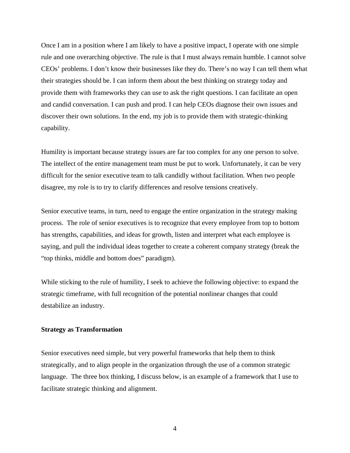Once I am in a position where I am likely to have a positive impact, I operate with one simple rule and one overarching objective. The rule is that I must always remain humble. I cannot solve CEOs' problems. I don't know their businesses like they do. There's no way I can tell them what their strategies should be. I can inform them about the best thinking on strategy today and provide them with frameworks they can use to ask the right questions. I can facilitate an open and candid conversation. I can push and prod. I can help CEOs diagnose their own issues and discover their own solutions. In the end, my job is to provide them with strategic-thinking capability.

Humility is important because strategy issues are far too complex for any one person to solve. The intellect of the entire management team must be put to work. Unfortunately, it can be very difficult for the senior executive team to talk candidly without facilitation. When two people disagree, my role is to try to clarify differences and resolve tensions creatively.

Senior executive teams, in turn, need to engage the entire organization in the strategy making process. The role of senior executives is to recognize that every employee from top to bottom has strengths, capabilities, and ideas for growth, listen and interpret what each employee is saying, and pull the individual ideas together to create a coherent company strategy (break the "top thinks, middle and bottom does" paradigm).

While sticking to the rule of humility, I seek to achieve the following objective: to expand the strategic timeframe, with full recognition of the potential nonlinear changes that could destabilize an industry.

#### **Strategy as Transformation**

Senior executives need simple, but very powerful frameworks that help them to think strategically, and to align people in the organization through the use of a common strategic language. The three box thinking, I discuss below, is an example of a framework that I use to facilitate strategic thinking and alignment.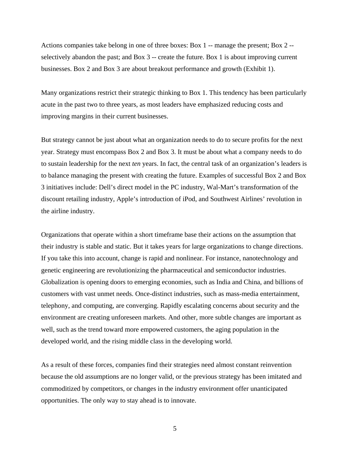Actions companies take belong in one of three boxes: Box 1 -- manage the present; Box 2 - selectively abandon the past; and Box 3 -- create the future. Box 1 is about improving current businesses. Box 2 and Box 3 are about breakout performance and growth (Exhibit 1).

Many organizations restrict their strategic thinking to Box 1. This tendency has been particularly acute in the past two to three years, as most leaders have emphasized reducing costs and improving margins in their current businesses.

But strategy cannot be just about what an organization needs to do to secure profits for the next year. Strategy must encompass Box 2 and Box 3. It must be about what a company needs to do to sustain leadership for the next *ten* years. In fact, the central task of an organization's leaders is to balance managing the present with creating the future. Examples of successful Box 2 and Box 3 initiatives include: Dell's direct model in the PC industry, Wal-Mart's transformation of the discount retailing industry, Apple's introduction of iPod, and Southwest Airlines' revolution in the airline industry.

Organizations that operate within a short timeframe base their actions on the assumption that their industry is stable and static. But it takes years for large organizations to change directions. If you take this into account, change is rapid and nonlinear. For instance, nanotechnology and genetic engineering are revolutionizing the pharmaceutical and semiconductor industries. Globalization is opening doors to emerging economies, such as India and China, and billions of customers with vast unmet needs. Once-distinct industries, such as mass-media entertainment, telephony, and computing, are converging. Rapidly escalating concerns about security and the environment are creating unforeseen markets. And other, more subtle changes are important as well, such as the trend toward more empowered customers, the aging population in the developed world, and the rising middle class in the developing world.

As a result of these forces, companies find their strategies need almost constant reinvention because the old assumptions are no longer valid, or the previous strategy has been imitated and commoditized by competitors, or changes in the industry environment offer unanticipated opportunities. The only way to stay ahead is to innovate.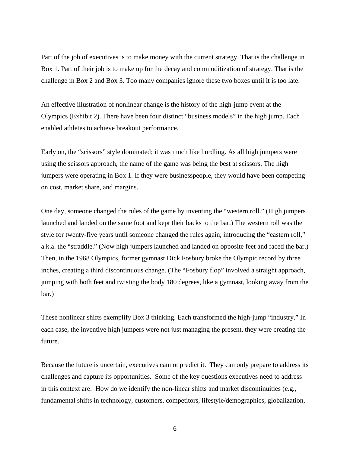Part of the job of executives is to make money with the current strategy. That is the challenge in Box 1. Part of their job is to make up for the decay and commoditization of strategy. That is the challenge in Box 2 and Box 3. Too many companies ignore these two boxes until it is too late.

An effective illustration of nonlinear change is the history of the high-jump event at the Olympics (Exhibit 2). There have been four distinct "business models" in the high jump. Each enabled athletes to achieve breakout performance.

Early on, the "scissors" style dominated; it was much like hurdling. As all high jumpers were using the scissors approach, the name of the game was being the best at scissors. The high jumpers were operating in Box 1. If they were businesspeople, they would have been competing on cost, market share, and margins.

One day, someone changed the rules of the game by inventing the "western roll." (High jumpers launched and landed on the same foot and kept their backs to the bar.) The western roll was the style for twenty-five years until someone changed the rules again, introducing the "eastern roll," a.k.a. the "straddle." (Now high jumpers launched and landed on opposite feet and faced the bar.) Then, in the 1968 Olympics, former gymnast Dick Fosbury broke the Olympic record by three inches, creating a third discontinuous change. (The "Fosbury flop" involved a straight approach, jumping with both feet and twisting the body 180 degrees, like a gymnast, looking away from the bar.)

These nonlinear shifts exemplify Box 3 thinking. Each transformed the high-jump "industry." In each case, the inventive high jumpers were not just managing the present, they were creating the future.

Because the future is uncertain, executives cannot predict it. They can only prepare to address its challenges and capture its opportunities. Some of the key questions executives need to address in this context are: How do we identify the non-linear shifts and market discontinuities (e.g., fundamental shifts in technology, customers, competitors, lifestyle/demographics, globalization,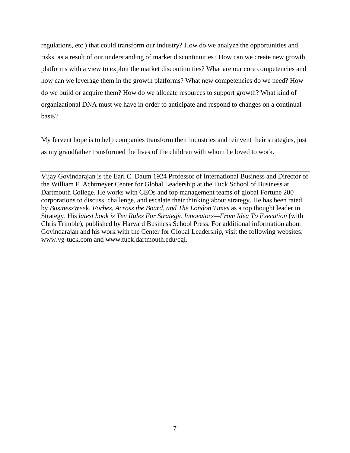regulations, etc.) that could transform our industry? How do we analyze the opportunities and risks, as a result of our understanding of market discontinuities? How can we create new growth platforms with a view to exploit the market discontinuities? What are our core competencies and how can we leverage them in the growth platforms? What new competencies do we need? How do we build or acquire them? How do we allocate resources to support growth? What kind of organizational DNA must we have in order to anticipate and respond to changes on a continual basis?

My fervent hope is to help companies transform their industries and reinvent their strategies, just as my grandfather transformed the lives of the children with whom he loved to work.

Vijay Govindarajan is the Earl C. Daum 1924 Professor of International Business and Director of the William F. Achtmeyer Center for Global Leadership at the Tuck School of Business at Dartmouth College. He works with CEOs and top management teams of global Fortune 200 corporations to discuss, challenge, and escalate their thinking about strategy. He has been rated by *BusinessWee*k, *Forbes, Across the Board, and The London Times* as a top thought leader in Strategy. His *latest book is Ten Rules For Strategic Innovators—From Idea To Execution* (with Chris Trimble), published by Harvard Business School Press. For additional information about Govindarajan and his work with the Center for Global Leadership, visit the following websites: www.vg-tuck.com and www.tuck.dartmouth.edu/cgl.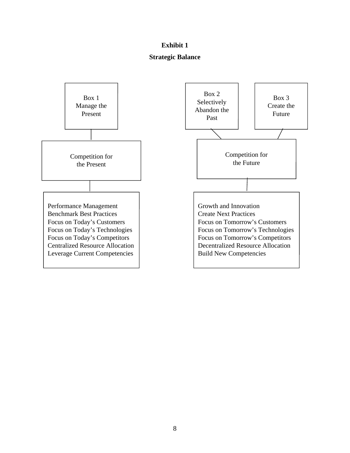## **Exhibit 1**

### **Strategic Balance**